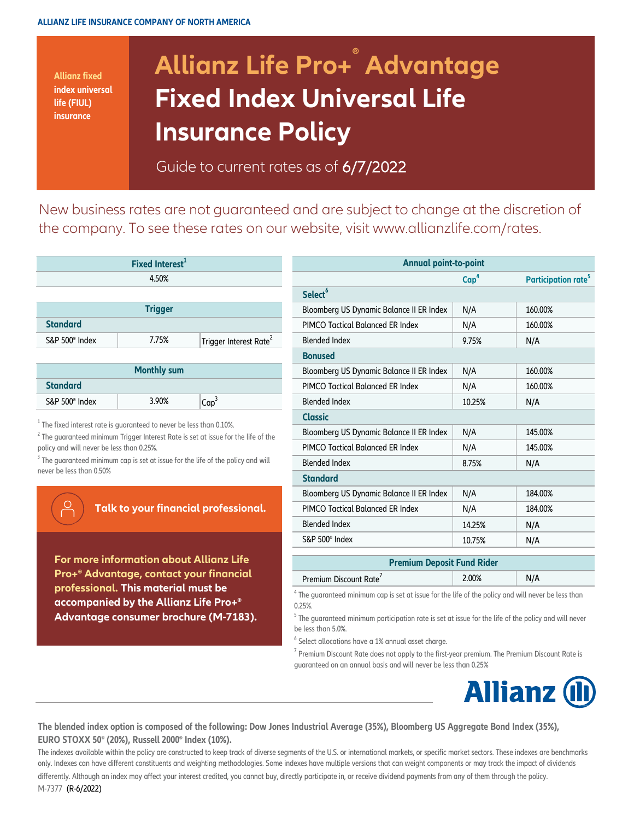**Allianz fixed index universal life (FIUL) insurance**

## **Allianz Life Pro+ ® Advantage Fixed Index Universal Life Insurance Policy**

Guide to current rates as of 6/7/2022

[New busines](http://www.allianzlife.com/rates)s rates are not guaranteed and are subject to change at the discretion of [the company](http://www.allianzlife.com/rates). To see these rates on our website, visit www.allianzlife.com/rates.

| Fixed Interest <sup>1</sup> |       |                                    |  |  |  |
|-----------------------------|-------|------------------------------------|--|--|--|
|                             | 4.50% |                                    |  |  |  |
|                             |       |                                    |  |  |  |
| <b>Trigger</b>              |       |                                    |  |  |  |
| <b>Standard</b>             |       |                                    |  |  |  |
| S&P 500 <sup>®</sup> Index  | 7.75% | Trigger Interest Rate <sup>2</sup> |  |  |  |
|                             |       |                                    |  |  |  |

| <b>Monthly sum</b>         |       |         |  |  |  |
|----------------------------|-------|---------|--|--|--|
| <b>Standard</b>            |       |         |  |  |  |
| S&P 500 <sup>®</sup> Index | 3.90% | $Cap^3$ |  |  |  |

 $^{\rm 1}$  The fixed interest rate is guaranteed to never be less than 0.10%.

 $^2$  The guaranteed minimum Trigger Interest Rate is set at issue for the life of the policy and will never be less than 0.25%.

 $3$  The guaranteed minimum cap is set at issue for the life of the policy and will never be less than 0.50%

## **Talk to your financial professional.**

**For more information about Allianz Life Pro+® Advantage, contact your financial professional. This material must be accompanied by the Allianz Life Pro+® Advantage consumer brochure (M-7183).**

| Fixed Interest <sup>1</sup>                                                                                                                                      |                                    | <b>Annual point-to-point</b>             |                  |                                 |  |
|------------------------------------------------------------------------------------------------------------------------------------------------------------------|------------------------------------|------------------------------------------|------------------|---------------------------------|--|
| 4.50%                                                                                                                                                            |                                    |                                          | Cap <sup>4</sup> | Participation rate <sup>5</sup> |  |
|                                                                                                                                                                  |                                    | Select <sup>6</sup>                      |                  |                                 |  |
| <b>Trigger</b>                                                                                                                                                   |                                    | Bloomberg US Dynamic Balance II ER Index | N/A              | 160.00%                         |  |
|                                                                                                                                                                  |                                    | PIMCO Tactical Balanced ER Index         | N/A              | 160.00%                         |  |
| 7.75%                                                                                                                                                            | Trigger Interest Rate <sup>2</sup> | <b>Blended Index</b>                     | 9.75%            | N/A                             |  |
|                                                                                                                                                                  |                                    | <b>Bonused</b>                           |                  |                                 |  |
| <b>Monthly sum</b>                                                                                                                                               |                                    | Bloomberg US Dynamic Balance II ER Index | N/A              | 160.00%                         |  |
|                                                                                                                                                                  |                                    | PIMCO Tactical Balanced ER Index         | N/A              | 160.00%                         |  |
| 3.90%                                                                                                                                                            | Cap <sup>3</sup>                   | <b>Blended Index</b>                     | 10.25%           | N/A                             |  |
| inteed to never be less than 0.10%.<br>ger Interest Rate is set at issue for the life of the<br>an 0.25%.<br>is set at issue for the life of the policy and will |                                    | <b>Classic</b>                           |                  |                                 |  |
|                                                                                                                                                                  |                                    | Bloomberg US Dynamic Balance II ER Index | N/A              | 145.00%                         |  |
|                                                                                                                                                                  |                                    | PIMCO Tactical Balanced ER Index         | N/A              | 145.00%                         |  |
|                                                                                                                                                                  |                                    | <b>Blended Index</b>                     | 8.75%            | N/A                             |  |
|                                                                                                                                                                  |                                    | <b>Standard</b>                          |                  |                                 |  |
| your financial professional.                                                                                                                                     |                                    | Bloomberg US Dynamic Balance II ER Index | N/A              | 184.00%                         |  |
|                                                                                                                                                                  |                                    | PIMCO Tactical Balanced ER Index         | N/A              | 184.00%                         |  |
|                                                                                                                                                                  |                                    | <b>Blended Index</b>                     | 14.25%           | N/A                             |  |
|                                                                                                                                                                  |                                    | S&P 500 <sup>®</sup> Index               | 10.75%           | N/A                             |  |
| ıation about Allianz Life                                                                                                                                        |                                    | <b>Premium Deposit Fund Rider</b>        |                  |                                 |  |

 $^{\rm 4}$  The guaranteed minimum cap is set at issue for the life of the policy and will never be less than 0.25%.

 $^{\rm 5}$  The guaranteed minimum participation rate is set at issue for the life of the policy and will never be less than 5.0%.

 $^6$  Select allocations have a 1% annual asset charge.

Premium Discount Rate<sup>7</sup>

 $^7$  Premium Discount Rate does not apply to the first-year premium. The Premium Discount Rate is guaranteed on an annual basis and will never be less than 0.25%



2.00% N/A

**The blended index option is composed of the following: Dow Jones Industrial Average (35%), Bloomberg US Aggregate Bond Index (35%), EURO STOXX 50® (20%), Russell 2000® Index (10%).**

The indexes available within the policy are constructed to keep track of diverse segments of the U.S. or international markets, or specific market sectors. These indexes are benchmarks only. Indexes can have different constituents and weighting methodologies. Some indexes have multiple versions that can weight components or may track the impact of dividends differently. Although an index may affect your interest credited, you cannot buy, directly participate in, or receive dividend payments from any of them through the policy. M-7377 (R-6/2022)